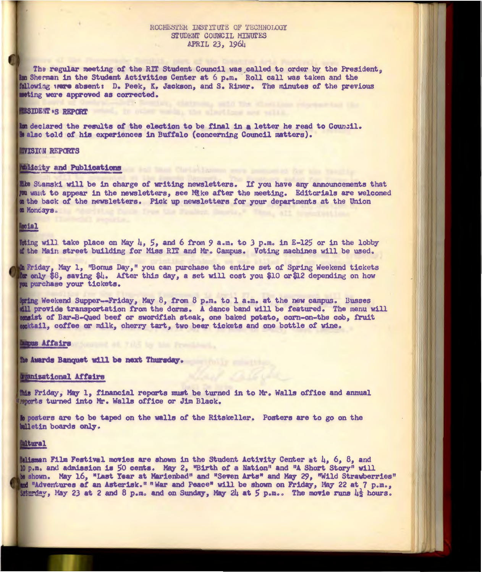# ROCHESTER INSTITUTE OF TECHNOLOGY **STUDENT COUNCIL MINUTES APRIL 23, 1964**

The regular meeting of the RIT Student Council was called to order by the President, **Sherman in the Student Activities Center at 6 p.m. · Roll call was taken and the**  following were absent: D. Peek, K. Jackson, and S. Rimer. The minutes of the previous **ing were approved as corrected.** 

#### **ESIDENT .S REPORT**

**decJ.ared the results** *ot* **the election to be final 1n letter he read to 0oun.:11. also told** *ot* **hia experiences 1n Buffalo ( concerning Council matters).** 

## **IIVISION REPORTS**

## **Amiicity and Publications**

**Kke** Stamski will be in charge of writing newsletters. If you have any announcements that *p***u want to appear in the newsletters, see Mike after the meeting. Editorials are welcomed un the back of the newsletters. Pick up newsletters for your departments at the Union Konciays.** 

## **Lecial**

**loting will take place on May 4, 5, and 6 from 9 a.m. to 3 p.m. in E-125 or in the lobby the Main street building** *tor* **Miss Rrr and Mr. Campus. Voting machines will be UBed.,** 

**A Friday, May 1, "Bonus Day," you can purchase the entire set of Spring Weekend tickets only 18, saving \$4. After this day, a set will coat you \$10 or\$1.2 depending on how purchase your tickets.** 

**Weekend Supper-Friday, May B, from 8 p.m. to 1 a.m. at the new campus. Busses**  will provide transportation from the dorms. A dance band will be featured. The menu will **1st** *ot* **Bar-B-Qued beet or swordfish steak, one baked potato, corn-on-the cob, fruit**  woktail, coffee or milk, cherry tart, two beer tickets and one bottle of wine.

### **Lunpus Affairs**

the Awards Banquet will be next Thursday.

#### zational **Affairs**

**fhis Friday, May 1, financial reports must be turned in to Mr. Walls office and annual** wherts turned into Mr. Walls office or Jim Black.

**k** posters are to be taped on the walls of the Ritskeller. Posters are to go on the **kalletin** boards only.

## **Mitural**

**hlisman Film Festival movies are shown in the Student Activity Center at 4, 6, 8, and p.mo and admission 1a** *SO* **cents. May 2., "Birth** *ot* **a Nation" and**  <sup>0</sup>**A Short Story <sup>n</sup>v1ll** shown. May 16, "Last Year at Marienbad" and "Seven Arts" and May 29, "Wild Strawberries" **•Adventures at an Aaterisko n "War and Peace• will be shown on Friday-., May 22 at 7 p.m., 1atmot1.,,., May 2.3 at 2 and 8 p.mo and on Sunday, May** 2h **at** S **p.m.** *o* **The moYie runs** hi **hours.**